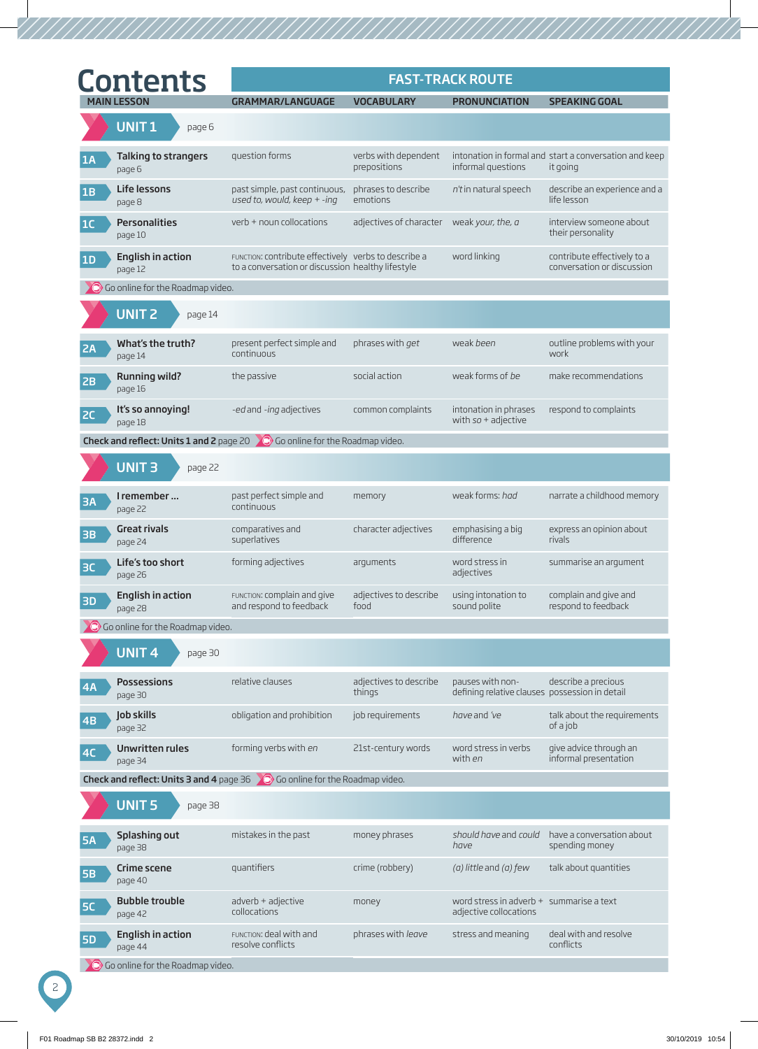|           | <b>Contents</b>                     |                                                                                                           |                                      | <b>FAST-TRACK ROUTE</b>                                            |                                                                    |
|-----------|-------------------------------------|-----------------------------------------------------------------------------------------------------------|--------------------------------------|--------------------------------------------------------------------|--------------------------------------------------------------------|
|           | <b>MAIN LESSON</b>                  | <b>GRAMMAR/LANGUAGE</b>                                                                                   | <b>VOCABULARY</b>                    | <b>PRONUNCIATION</b>                                               | <b>SPEAKING GOAL</b>                                               |
|           | UNIT <sub>1</sub><br>page 6         |                                                                                                           |                                      |                                                                    |                                                                    |
| 1A        | Talking to strangers<br>page 6      | question forms                                                                                            | verbs with dependent<br>prepositions | informal questions                                                 | intonation in formal and start a conversation and keep<br>it going |
| 1B        | <b>Life lessons</b><br>page 8       | past simple, past continuous,<br>used to, would, keep $+$ -ing                                            | phrases to describe<br>emotions      | n't in natural speech                                              | describe an experience and a<br>life lesson                        |
| 1C        | <b>Personalities</b><br>page 10     | verb + noun collocations                                                                                  | adjectives of character              | weak your, the, a                                                  | interview someone about<br>their personality                       |
| 1D        | <b>English in action</b><br>page 12 | FUNCTION: CONTribute effectively verbs to describe a<br>to a conversation or discussion healthy lifestyle |                                      | word linking                                                       | contribute effectively to a<br>conversation or discussion          |
|           | Go online for the Roadmap video.    |                                                                                                           |                                      |                                                                    |                                                                    |
|           | UNIT <sub>2</sub><br>page 14        |                                                                                                           |                                      |                                                                    |                                                                    |
| 2A        | What's the truth?<br>page 14        | present perfect simple and<br>continuous                                                                  | phrases with get                     | weak been                                                          | outline problems with your<br>work                                 |
| 2B        | <b>Running wild?</b><br>page 16     | the passive                                                                                               | social action                        | weak forms of be                                                   | make recommendations                                               |
| <b>2C</b> | It's so annoying!<br>page 18        | -ed and -ing adjectives                                                                                   | common complaints                    | intonation in phrases<br>with $so +$ adjective                     | respond to complaints                                              |
|           |                                     | Check and reflect: Units 1 and 2 page 20 0 Go online for the Roadmap video.                               |                                      |                                                                    |                                                                    |
|           | UNIT <sub>3</sub><br>page 22        |                                                                                                           |                                      |                                                                    |                                                                    |
| <b>3A</b> | I remember<br>page 22               | past perfect simple and<br>continuous                                                                     | memory                               | weak forms: had                                                    | narrate a childhood memory                                         |
| <b>3B</b> | <b>Great rivals</b><br>page 24      | comparatives and<br>superlatives                                                                          | character adjectives                 | emphasising a big<br>difference                                    | express an opinion about<br>rivals                                 |
| <b>BC</b> | Life's too short<br>page 26         | forming adjectives                                                                                        | arguments                            | word stress in<br>adjectives                                       | summarise an argument                                              |
| 3D        | <b>English in action</b><br>page 28 | FUNCTION: COmplain and give<br>and respond to feedback                                                    | adjectives to describe<br>food       | using intonation to<br>sound polite                                | complain and give and<br>respond to feedback                       |
|           | O Go online for the Roadmap video.  |                                                                                                           |                                      |                                                                    |                                                                    |
|           | UNIT <sub>4</sub><br>page 30        |                                                                                                           |                                      |                                                                    |                                                                    |
| 4A        | <b>Possessions</b><br>page 30       | relative clauses                                                                                          | adjectives to describe<br>things     | pauses with non-<br>defining relative clauses possession in detail | describe a precious                                                |
| 4B        | Job skills<br>page 32               | obligation and prohibition                                                                                | job requirements                     | have and 've                                                       | talk about the requirements<br>of a job                            |
| 4C        | Unwritten rules<br>page 34          | forming verbs with en                                                                                     | 21st-century words                   | word stress in verbs<br>with en                                    | give advice through an<br>informal presentation                    |
|           |                                     | Check and reflect: Units 3 and 4 page 36 0 Go online for the Roadmap video.                               |                                      |                                                                    |                                                                    |
|           | <b>UNIT 5</b><br>page 38            |                                                                                                           |                                      |                                                                    |                                                                    |
| <b>5A</b> | Splashing out<br>page 38            | mistakes in the past                                                                                      | money phrases                        | should have and could<br>have                                      | have a conversation about<br>spending money                        |
| <b>5B</b> | Crime scene<br>page 40              | quantifiers                                                                                               | crime (robbery)                      | $(a)$ little and $(a)$ few                                         | talk about quantities                                              |
| <b>5C</b> | <b>Bubble trouble</b><br>page 42    | adverb + adjective<br>collocations                                                                        | money                                | word stress in adverb + summarise a text<br>adjective collocations |                                                                    |
| <b>5D</b> | <b>English in action</b><br>page 44 | FUNCTION: deal with and<br>resolve conflicts                                                              | phrases with leave                   | stress and meaning                                                 | deal with and resolve<br>conflicts                                 |
|           | Go online for the Roadmap video.    |                                                                                                           |                                      |                                                                    |                                                                    |

2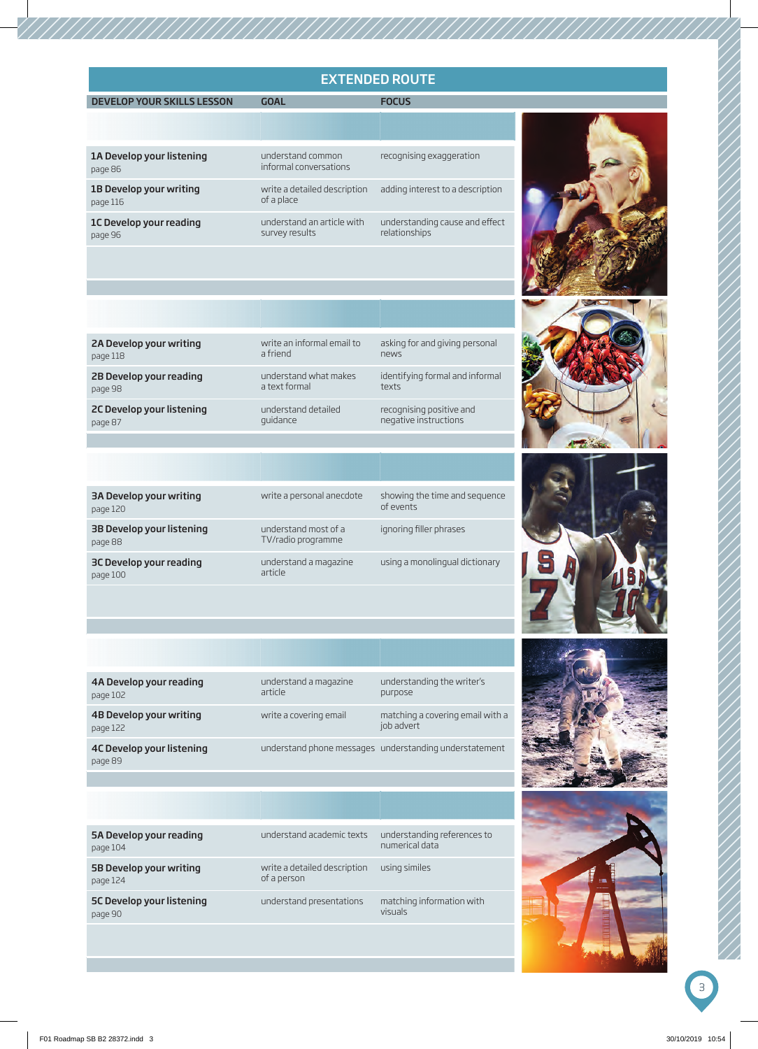## EXTENDED ROUTE

MAIN LESSON GOAL PRONUNCIATION SPEAKING SPEAKING SPEAKING SPEAKING SPEAKING SPEAKING SPEAKING STATES AND FOCUS

| 1A Develop your listening<br>page 86 | understand common<br>informal conversations  | recognising exaggeration                        |
|--------------------------------------|----------------------------------------------|-------------------------------------------------|
| 1B Develop your writing<br>page 116  | write a detailed description<br>of a place   | adding interest to a description                |
| 1C Develop your reading<br>page 96   | understand an article with<br>survey results | understanding cause and effect<br>relationships |



| asking for and giving personal  | write an informal email to | 2A Develop your writing   |
|---------------------------------|----------------------------|---------------------------|
| news                            | a friend                   | page 118                  |
| identifying formal and informal | understand what makes      | 2B Develop your reading   |
| texts                           | a text formal              | page 98                   |
| recognising positive and        | understand detailed        | 2C Develop your listening |
| negative instructions           | quidance                   | page 87                   |

| 3A Develop your writing<br>page 120  | write a personal anecdote                  | showing the time and sequence<br>of events |
|--------------------------------------|--------------------------------------------|--------------------------------------------|
| 3B Develop your listening<br>page 88 | understand most of a<br>TV/radio programme | ignoring filler phrases                    |
| 3C Develop your reading<br>page 100  | understand a magazine<br>article           | using a monolingual dictionary             |

| 4A Develop your reading<br>page 102  | understand a magazine<br>article | understanding the writer's<br>purpose                  |
|--------------------------------------|----------------------------------|--------------------------------------------------------|
| 4B Develop your writing<br>page 122  | write a covering email           | matching a covering email with a<br>job advert         |
| 4C Develop your listening<br>page 89 |                                  | understand phone messages understanding understatement |





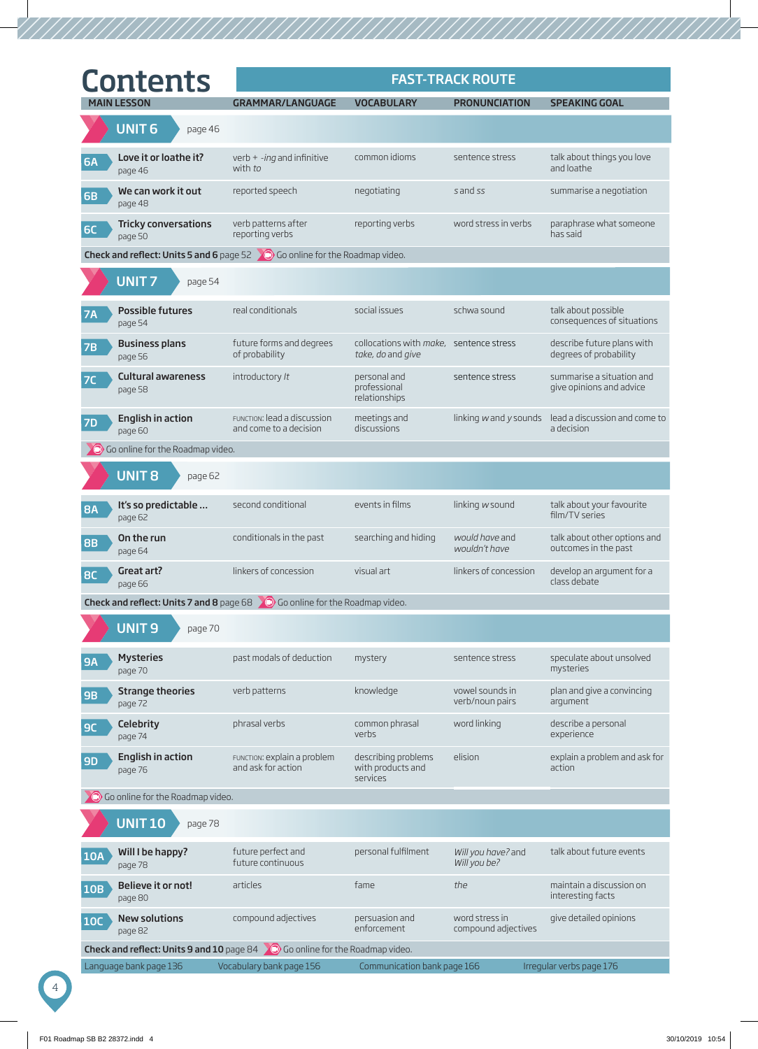| <b>Contents</b> |                                        | <b>FAST-TRACK ROUTE</b>                                                                                |                                                              |                                       |                                                                   |  |
|-----------------|----------------------------------------|--------------------------------------------------------------------------------------------------------|--------------------------------------------------------------|---------------------------------------|-------------------------------------------------------------------|--|
|                 | <b>MAIN LESSON</b>                     | <b>GRAMMAR/LANGUAGE</b>                                                                                | <b>VOCABULARY</b>                                            | <b>PRONUNCIATION</b>                  | <b>SPEAKING GOAL</b>                                              |  |
|                 | <b>UNIT6</b><br>page 46                |                                                                                                        |                                                              |                                       |                                                                   |  |
| <b>6A</b>       | Love it or loathe it?<br>page 46       | verb $+ -ing$ and infinitive<br>with to                                                                | common idioms                                                | sentence stress                       | talk about things you love<br>and loathe                          |  |
| <b>6B</b>       | We can work it out<br>page 48          | reported speech                                                                                        | negotiating                                                  | s and ss                              | summarise a negotiation                                           |  |
| <b>6C</b>       | <b>Tricky conversations</b><br>page 50 | verb patterns after<br>reporting verbs                                                                 | reporting verbs                                              | word stress in verbs                  | paraphrase what someone<br>has said                               |  |
|                 |                                        | <b>Check and reflect: Units 5 and 6</b> page 52 0 Go online for the Roadmap video.                     |                                                              |                                       |                                                                   |  |
|                 | <b>UNIT7</b><br>page 54                |                                                                                                        |                                                              |                                       |                                                                   |  |
| <b>7A</b>       | <b>Possible futures</b><br>page 54     | real conditionals                                                                                      | social issues                                                | schwa sound                           | talk about possible<br>consequences of situations                 |  |
| 7B              | <b>Business plans</b><br>page 56       | future forms and degrees<br>of probability                                                             | collocations with make, sentence stress<br>take, do and give |                                       | describe future plans with<br>degrees of probability              |  |
| 7C              | <b>Cultural awareness</b><br>page 58   | introductory /t                                                                                        | personal and<br>professional<br>relationships                | sentence stress                       | summarise a situation and<br>give opinions and advice             |  |
| <b>7D</b>       | <b>English in action</b><br>page 60    | FUNCTION: lead a discussion<br>and come to a decision                                                  | meetings and<br>discussions                                  |                                       | linking wand y sounds lead a discussion and come to<br>a decision |  |
|                 | O Go online for the Roadmap video.     |                                                                                                        |                                                              |                                       |                                                                   |  |
|                 | <b>UNIT 8</b><br>page 62               |                                                                                                        |                                                              |                                       |                                                                   |  |
| <b>8A</b>       | It's so predictable<br>page 62         | second conditional                                                                                     | events in films                                              | linking w sound                       | talk about your favourite<br>film/TV series                       |  |
| <b>8B</b>       | On the run<br>page 64                  | conditionals in the past                                                                               | searching and hiding                                         | would have and<br>wouldn't have       | talk about other options and<br>outcomes in the past              |  |
| <b>BC</b>       | Great art?<br>page 66                  | linkers of concession                                                                                  | visual art                                                   | linkers of concession                 | develop an argument for a<br>class debate                         |  |
|                 |                                        | <b>Check and reflect: Units 7 and 8</b> page $68$ $\bullet$ $\bullet$ Go online for the Roadmap video. |                                                              |                                       |                                                                   |  |
|                 | <b>UNIT9</b><br>page 70                |                                                                                                        |                                                              |                                       |                                                                   |  |
| <b>9A</b>       | <b>Mysteries</b><br>page 70            | past modals of deduction                                                                               | mystery                                                      | sentence stress                       | speculate about unsolved<br>mysteries                             |  |
| <b>9B</b>       | <b>Strange theories</b><br>page 72     | verb patterns                                                                                          | knowledge                                                    | vowel sounds in<br>verb/noun pairs    | plan and give a convincing<br>argument                            |  |
| 9C              | Celebrity<br>page 74                   | phrasal verbs                                                                                          | common phrasal<br>verbs                                      | word linking                          | describe a personal<br>experience                                 |  |
| <b>9D</b>       | <b>English in action</b><br>page 76    | FUNCTION: explain a problem<br>and ask for action                                                      | describing problems<br>with products and<br>services         | elision                               | explain a problem and ask for<br>action                           |  |
|                 | Co online for the Roadmap video.       |                                                                                                        |                                                              |                                       |                                                                   |  |
|                 | <b>UNIT 10</b><br>page 78              |                                                                                                        |                                                              |                                       |                                                                   |  |
| <b>10A</b>      | Will I be happy?<br>page 78            | future perfect and<br>future continuous                                                                | personal fulfilment                                          | Will you have? and<br>Will you be?    | talk about future events                                          |  |
| <b>10B</b>      | Believe it or not!<br>page 80          | articles                                                                                               | fame                                                         | the                                   | maintain a discussion on<br>interesting facts                     |  |
| <b>10C</b>      | <b>New solutions</b><br>page 82        | compound adjectives                                                                                    | persuasion and<br>enforcement                                | word stress in<br>compound adjectives | give detailed opinions                                            |  |
|                 |                                        | <b>Check and reflect: Units 9 and 10</b> page 84 $\bigcirc$ Go online for the Roadmap video.           |                                                              |                                       |                                                                   |  |
|                 | Language bank page 136                 | Vocabulary bank page 156                                                                               | Communication bank page 166                                  |                                       | Irregular verbs page 176                                          |  |